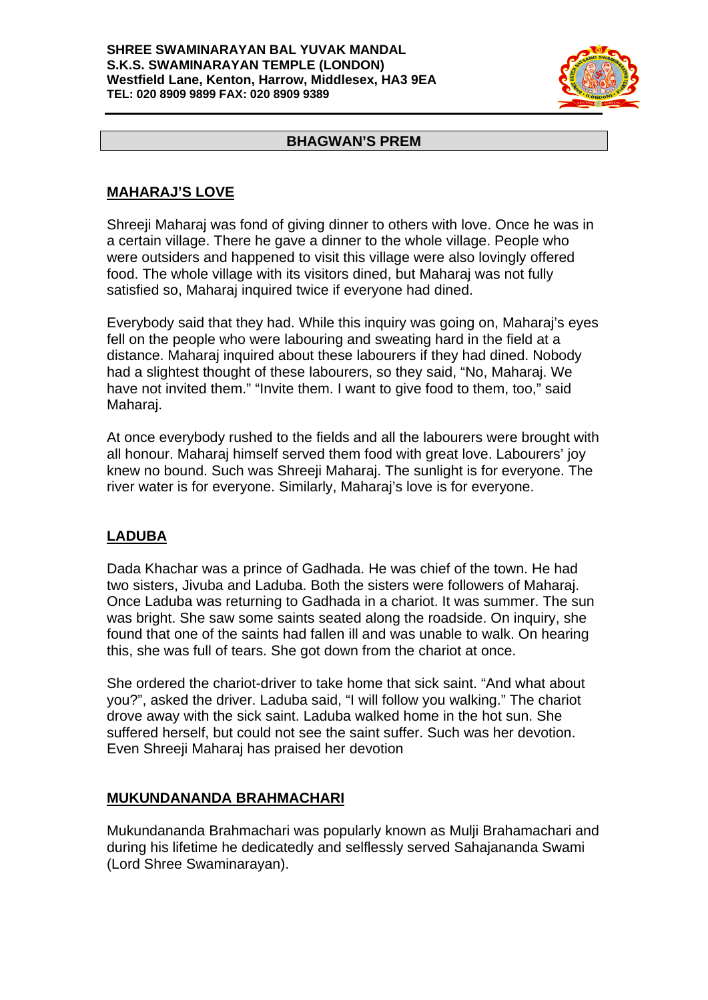#### **SHREE SWAMINARAYAN BAL YUVAK MANDAL S.K.S. SWAMINARAYAN TEMPLE (LONDON) Westfield Lane, Kenton, Harrow, Middlesex, HA3 9EA TEL: 020 8909 9899 FAX: 020 8909 9389**



#### **BHAGWAN'S PREM**

## **MAHARAJ'S LOVE**

Shreeji Maharaj was fond of giving dinner to others with love. Once he was in a certain village. There he gave a dinner to the whole village. People who were outsiders and happened to visit this village were also lovingly offered food. The whole village with its visitors dined, but Maharaj was not fully satisfied so, Maharaj inquired twice if everyone had dined.

Everybody said that they had. While this inquiry was going on, Maharaj's eyes fell on the people who were labouring and sweating hard in the field at a distance. Maharaj inquired about these labourers if they had dined. Nobody had a slightest thought of these labourers, so they said, "No, Maharaj. We have not invited them." "Invite them. I want to give food to them, too," said Maharaj.

At once everybody rushed to the fields and all the labourers were brought with all honour. Maharaj himself served them food with great love. Labourers' joy knew no bound. Such was Shreeji Maharaj. The sunlight is for everyone. The river water is for everyone. Similarly, Maharaj's love is for everyone.

# **LADUBA**

Dada Khachar was a prince of Gadhada. He was chief of the town. He had two sisters, Jivuba and Laduba. Both the sisters were followers of Maharaj. Once Laduba was returning to Gadhada in a chariot. It was summer. The sun was bright. She saw some saints seated along the roadside. On inquiry, she found that one of the saints had fallen ill and was unable to walk. On hearing this, she was full of tears. She got down from the chariot at once.

She ordered the chariot-driver to take home that sick saint. "And what about you?", asked the driver. Laduba said, "I will follow you walking." The chariot drove away with the sick saint. Laduba walked home in the hot sun. She suffered herself, but could not see the saint suffer. Such was her devotion. Even Shreeji Maharaj has praised her devotion

### **MUKUNDANANDA BRAHMACHARI**

Mukundananda Brahmachari was popularly known as Mulji Brahamachari and during his lifetime he dedicatedly and selflessly served Sahajananda Swami (Lord Shree Swaminarayan).